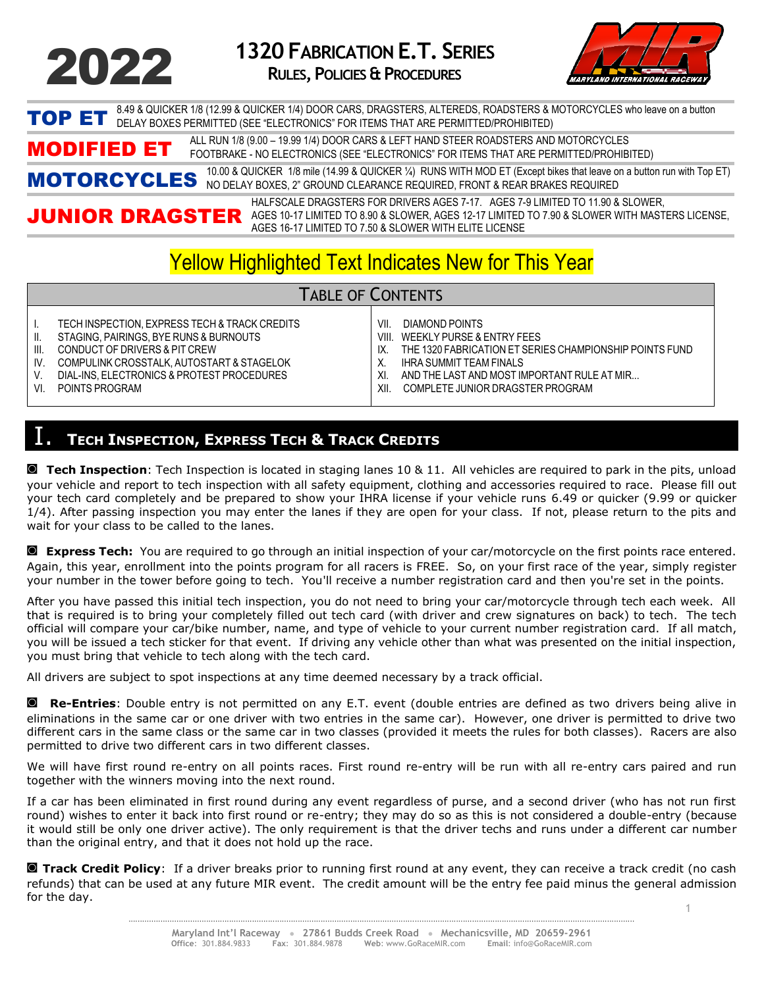

**1320 FABRICATION E.T. SERIES RULES,POLICIES &PROCEDURES**



TOP ET 8.49 & QUICKER 1/8 (12.99 & QUICKER 1/4) DOOR CARS, DRAGSTERS, ALTEREDS, ROADSTERS & MOTORCYCLES who leave on a button<br>TOP ET DELAY BOXES PERMITTED (SEE "ELECTRONICS" FOR ITEMS THAT ARE PERMITTED/PROHIBITED)

MODIFIED ET ALL RUN 1/8 (9.00 – 19.99 1/4) DOOR CARS & LEFT HAND STEER ROADSTERS AND MOTORCYCLES<br>FOOTBRAKE - NO ELECTRONICS (SEE "ELECTRONICS" FOR ITEMS THAT ARE PERMITTED/PROHIBITED)

MOTORCYCLES 10.00 & QUICKER 1/8 mile (14.99 & QUICKER ¼) RUNS WITH MOD ET (Except bikes that leave on a button run with Top ET) NO DELAY BOXES, 2" GROUND CLEARANCE REQUIRED, FRONT & REAR BRAKES REQUIRED

JUNIOR DRAGSTER AGES 10-17 LIMITED TO 8.90 & SLOWER, AGES 12-17 LIMITED TO 7.90 & SLOWER WITH MASTERS LICENSE, HALFSCALE DRAGSTERS FOR DRIVERS AGES 7-17. AGES 7-9 LIMITED TO 11.90 & SLOWER, AGES 16-17 LIMITED TO 7.50 & SLOWER WITH ELITE LICENSE

# Yellow Highlighted Text Indicates New for This Year

### TABLE OF CONTENTS

| TECH INSPECTION. EXPRESS TECH & TRACK CREDITS | VII.  | DIAMOND POINTS                                          |
|-----------------------------------------------|-------|---------------------------------------------------------|
| STAGING, PAIRINGS, BYE RUNS & BURNOUTS        | VIII. | WEEKLY PURSE & ENTRY FEES                               |
| CONDUCT OF DRIVERS & PIT CREW                 | IX    | THE 1320 FABRICATION ET SERIES CHAMPIONSHIP POINTS FUND |
| COMPULINK CROSSTALK, AUTOSTART & STAGELOK     |       | <b>IHRA SUMMIT TEAM FINALS</b>                          |
| DIAL-INS, ELECTRONICS & PROTEST PROCEDURES    | XI    | AND THE LAST AND MOST IMPORTANT RULE AT MIR             |
| POINTS PROGRAM                                | XII   | COMPLETE JUNIOR DRAGSTER PROGRAM                        |
|                                               |       |                                                         |

#### I. **<sup>T</sup>ECH INSPECTION, <sup>E</sup>XPRESS TECH & <sup>T</sup>RACK CREDITS**

**◙ Tech Inspection**: Tech Inspection is located in staging lanes 10 & 11. All vehicles are required to park in the pits, unload your vehicle and report to tech inspection with all safety equipment, clothing and accessories required to race. Please fill out your tech card completely and be prepared to show your IHRA license if your vehicle runs 6.49 or quicker (9.99 or quicker 1/4). After passing inspection you may enter the lanes if they are open for your class. If not, please return to the pits and wait for your class to be called to the lanes.

**◙ Express Tech:** You are required to go through an initial inspection of your car/motorcycle on the first points race entered. Again, this year, enrollment into the points program for all racers is FREE. So, on your first race of the year, simply register your number in the tower before going to tech. You'll receive a number registration card and then you're set in the points.

After you have passed this initial tech inspection, you do not need to bring your car/motorcycle through tech each week. All that is required is to bring your completely filled out tech card (with driver and crew signatures on back) to tech. The tech official will compare your car/bike number, name, and type of vehicle to your current number registration card. If all match, you will be issued a tech sticker for that event. If driving any vehicle other than what was presented on the initial inspection, you must bring that vehicle to tech along with the tech card.

All drivers are subject to spot inspections at any time deemed necessary by a track official.

**◙ Re-Entries**: Double entry is not permitted on any E.T. event (double entries are defined as two drivers being alive in eliminations in the same car or one driver with two entries in the same car). However, one driver is permitted to drive two different cars in the same class or the same car in two classes (provided it meets the rules for both classes). Racers are also permitted to drive two different cars in two different classes.

We will have first round re-entry on all points races. First round re-entry will be run with all re-entry cars paired and run together with the winners moving into the next round.

If a car has been eliminated in first round during any event regardless of purse, and a second driver (who has not run first round) wishes to enter it back into first round or re-entry; they may do so as this is not considered a double-entry (because it would still be only one driver active). The only requirement is that the driver techs and runs under a different car number than the original entry, and that it does not hold up the race.

1 **◙ Track Credit Policy**: If a driver breaks prior to running first round at any event, they can receive a track credit (no cash refunds) that can be used at any future MIR event. The credit amount will be the entry fee paid minus the general admission for the day.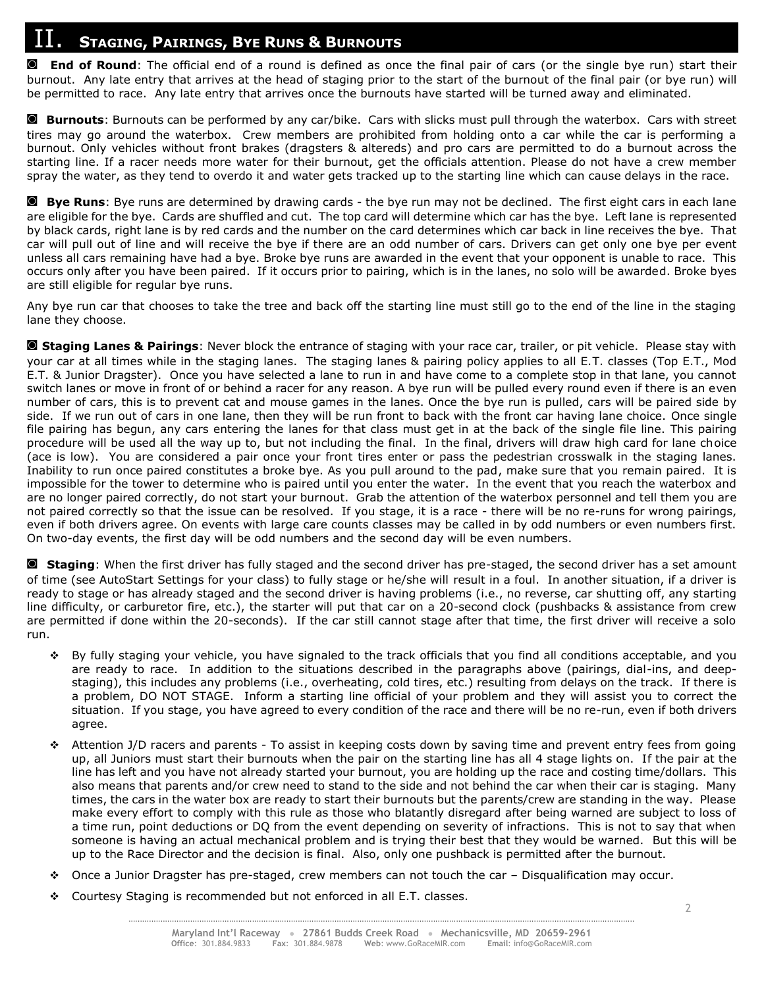# II. **<sup>S</sup>TAGING, <sup>P</sup>AIRINGS, <sup>B</sup>YE RUNS & <sup>B</sup>URNOUTS**

**◙ End of Round**: The official end of a round is defined as once the final pair of cars (or the single bye run) start their burnout. Any late entry that arrives at the head of staging prior to the start of the burnout of the final pair (or bye run) will be permitted to race. Any late entry that arrives once the burnouts have started will be turned away and eliminated.

**◙ Burnouts**: Burnouts can be performed by any car/bike. Cars with slicks must pull through the waterbox. Cars with street tires may go around the waterbox. Crew members are prohibited from holding onto a car while the car is performing a burnout. Only vehicles without front brakes (dragsters & altereds) and pro cars are permitted to do a burnout across the starting line. If a racer needs more water for their burnout, get the officials attention. Please do not have a crew member spray the water, as they tend to overdo it and water gets tracked up to the starting line which can cause delays in the race.

**◙ Bye Runs**: Bye runs are determined by drawing cards - the bye run may not be declined. The first eight cars in each lane are eligible for the bye. Cards are shuffled and cut. The top card will determine which car has the bye. Left lane is represented by black cards, right lane is by red cards and the number on the card determines which car back in line receives the bye. That car will pull out of line and will receive the bye if there are an odd number of cars. Drivers can get only one bye per event unless all cars remaining have had a bye. Broke bye runs are awarded in the event that your opponent is unable to race. This occurs only after you have been paired. If it occurs prior to pairing, which is in the lanes, no solo will be awarded. Broke byes are still eligible for regular bye runs.

Any bye run car that chooses to take the tree and back off the starting line must still go to the end of the line in the staging lane they choose.

**◙ Staging Lanes & Pairings**: Never block the entrance of staging with your race car, trailer, or pit vehicle. Please stay with your car at all times while in the staging lanes. The staging lanes & pairing policy applies to all E.T. classes (Top E.T., Mod E.T. & Junior Dragster). Once you have selected a lane to run in and have come to a complete stop in that lane, you cannot switch lanes or move in front of or behind a racer for any reason. A bye run will be pulled every round even if there is an even number of cars, this is to prevent cat and mouse games in the lanes. Once the bye run is pulled, cars will be paired side by side. If we run out of cars in one lane, then they will be run front to back with the front car having lane choice. Once single file pairing has begun, any cars entering the lanes for that class must get in at the back of the single file line. This pairing procedure will be used all the way up to, but not including the final. In the final, drivers will draw high card for lane choice (ace is low). You are considered a pair once your front tires enter or pass the pedestrian crosswalk in the staging lanes. Inability to run once paired constitutes a broke bye. As you pull around to the pad, make sure that you remain paired. It is impossible for the tower to determine who is paired until you enter the water. In the event that you reach the waterbox and are no longer paired correctly, do not start your burnout. Grab the attention of the waterbox personnel and tell them you are not paired correctly so that the issue can be resolved. If you stage, it is a race - there will be no re-runs for wrong pairings, even if both drivers agree. On events with large care counts classes may be called in by odd numbers or even numbers first. On two-day events, the first day will be odd numbers and the second day will be even numbers.

**◙ Staging**: When the first driver has fully staged and the second driver has pre-staged, the second driver has a set amount of time (see AutoStart Settings for your class) to fully stage or he/she will result in a foul. In another situation, if a driver is ready to stage or has already staged and the second driver is having problems (i.e., no reverse, car shutting off, any starting line difficulty, or carburetor fire, etc.), the starter will put that car on a 20-second clock (pushbacks & assistance from crew are permitted if done within the 20-seconds). If the car still cannot stage after that time, the first driver will receive a solo run.

- ❖ By fully staging your vehicle, you have signaled to the track officials that you find all conditions acceptable, and you are ready to race. In addition to the situations described in the paragraphs above (pairings, dial-ins, and deepstaging), this includes any problems (i.e., overheating, cold tires, etc.) resulting from delays on the track. If there is a problem, DO NOT STAGE. Inform a starting line official of your problem and they will assist you to correct the situation. If you stage, you have agreed to every condition of the race and there will be no re-run, even if both drivers agree.
- Attention J/D racers and parents To assist in keeping costs down by saving time and prevent entry fees from going up, all Juniors must start their burnouts when the pair on the starting line has all 4 stage lights on. If the pair at the line has left and you have not already started your burnout, you are holding up the race and costing time/dollars. This also means that parents and/or crew need to stand to the side and not behind the car when their car is staging. Many times, the cars in the water box are ready to start their burnouts but the parents/crew are standing in the way. Please make every effort to comply with this rule as those who blatantly disregard after being warned are subject to loss of a time run, point deductions or DQ from the event depending on severity of infractions. This is not to say that when someone is having an actual mechanical problem and is trying their best that they would be warned. But this will be up to the Race Director and the decision is final. Also, only one pushback is permitted after the burnout.
- ❖ Once a Junior Dragster has pre-staged, crew members can not touch the car Disqualification may occur.
- ❖ Courtesy Staging is recommended but not enforced in all E.T. classes.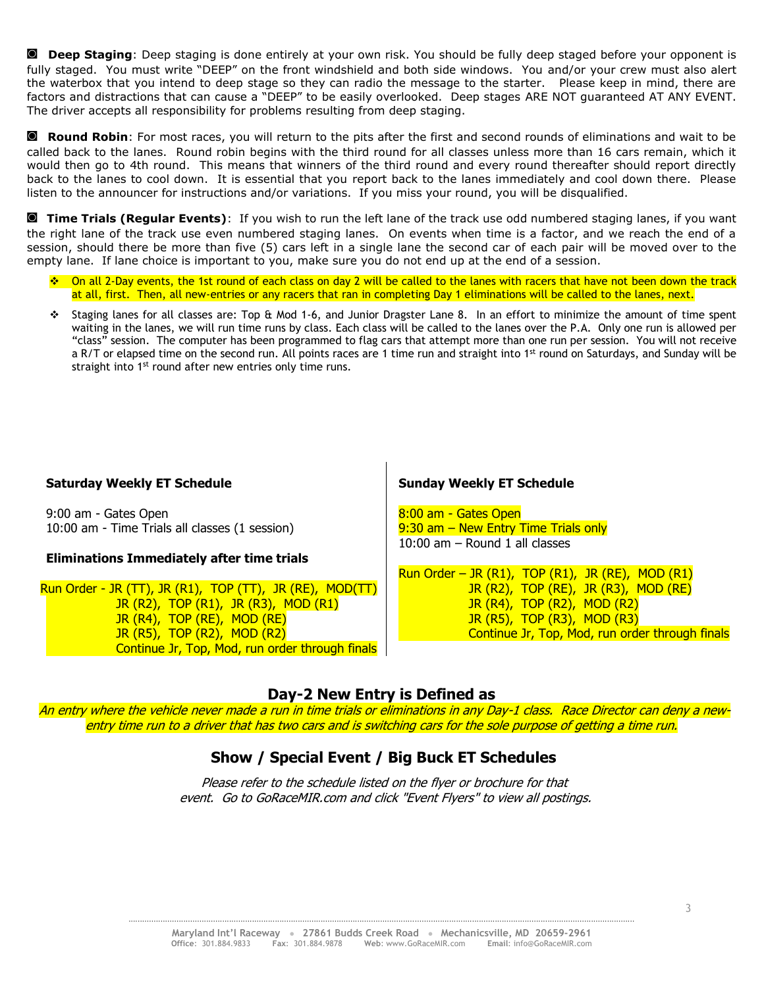**◙ Deep Staging**: Deep staging is done entirely at your own risk. You should be fully deep staged before your opponent is fully staged. You must write "DEEP" on the front windshield and both side windows. You and/or your crew must also alert the waterbox that you intend to deep stage so they can radio the message to the starter. Please keep in mind, there are factors and distractions that can cause a "DEEP" to be easily overlooked. Deep stages ARE NOT guaranteed AT ANY EVENT. The driver accepts all responsibility for problems resulting from deep staging.

**◙ Round Robin**: For most races, you will return to the pits after the first and second rounds of eliminations and wait to be called back to the lanes. Round robin begins with the third round for all classes unless more than 16 cars remain, which it would then go to 4th round. This means that winners of the third round and every round thereafter should report directly back to the lanes to cool down. It is essential that you report back to the lanes immediately and cool down there. Please listen to the announcer for instructions and/or variations. If you miss your round, you will be disqualified.

**◙ Time Trials (Regular Events)**: If you wish to run the left lane of the track use odd numbered staging lanes, if you want the right lane of the track use even numbered staging lanes. On events when time is a factor, and we reach the end of a session, should there be more than five (5) cars left in a single lane the second car of each pair will be moved over to the empty lane. If lane choice is important to you, make sure you do not end up at the end of a session.

- ❖ On all 2-Day events, the 1st round of each class on day 2 will be called to the lanes with racers that have not been down the track at all, first. Then, all new-entries or any racers that ran in completing Day 1 eliminations will be called to the lanes, next.
- ❖ Staging lanes for all classes are: Top & Mod 1-6, and Junior Dragster Lane 8. In an effort to minimize the amount of time spent waiting in the lanes, we will run time runs by class. Each class will be called to the lanes over the P.A. Only one run is allowed per "class" session. The computer has been programmed to flag cars that attempt more than one run per session. You will not receive a R/T or elapsed time on the second run. All points races are 1 time run and straight into 1<sup>st</sup> round on Saturdays, and Sunday will be straight into 1<sup>st</sup> round after new entries only time runs.

#### **Saturday Weekly ET Schedule**

9:00 am - Gates Open 10:00 am - Time Trials all classes (1 session)

#### **Eliminations Immediately after time trials**

Run Order - JR (TT), JR (R1), TOP (TT), JR (RE), MOD(TT) JR (R2), TOP (R1), JR (R3), MOD (R1) JR (R4), TOP (RE), MOD (RE) JR (R5), TOP (R2), MOD (R2) Continue Jr, Top, Mod, run order through finals

#### **Sunday Weekly ET Schedule**

8:00 am - Gates Open 9:30 am - New Entry Time Trials only 10:00 am – Round 1 all classes

Run Order – JR  $(R1)$ , TOP  $(R1)$ , JR  $(RE)$ , MOD  $(R1)$  JR (R2), TOP (RE), JR (R3), MOD (RE) JR (R4), TOP (R2), MOD (R2) JR (R5), TOP (R3), MOD (R3) Continue Jr, Top, Mod, run order through finals

#### **Day-2 New Entry is Defined as**

An entry where the vehicle never made a run in time trials or eliminations in any Day-1 class. Race Director can deny a newentry time run to a driver that has two cars and is switching cars for the sole purpose of getting a time run.

#### **Show / Special Event / Big Buck ET Schedules**

Please refer to the schedule listed on the flyer or brochure for that event. Go to GoRaceMIR.com and click "Event Flyers" to view all postings.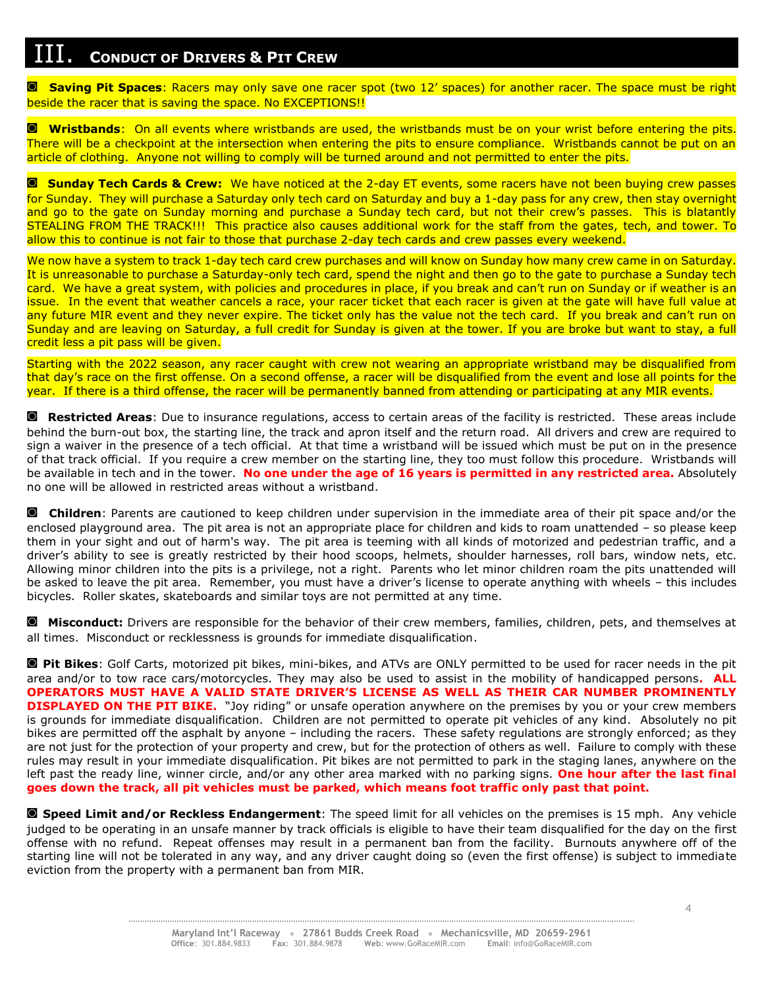## III. **<sup>C</sup>ONDUCT OF DRIVERS & <sup>P</sup>IT CREW**

**◙ Saving Pit Spaces**: Racers may only save one racer spot (two 12' spaces) for another racer. The space must be right beside the racer that is saving the space. No EXCEPTIONS!!

**◙ Wristbands**: On all events where wristbands are used, the wristbands must be on your wrist before entering the pits. There will be a checkpoint at the intersection when entering the pits to ensure compliance. Wristbands cannot be put on an article of clothing. Anyone not willing to comply will be turned around and not permitted to enter the pits.

**◙ Sunday Tech Cards & Crew:** We have noticed at the 2-day ET events, some racers have not been buying crew passes for Sunday. They will purchase a Saturday only tech card on Saturday and buy a 1-day pass for any crew, then stay overnight and go to the gate on Sunday morning and purchase a Sunday tech card, but not their crew's passes. This is blatantly STEALING FROM THE TRACK!!! This practice also causes additional work for the staff from the gates, tech, and tower. To allow this to continue is not fair to those that purchase 2-day tech cards and crew passes every weekend.

We now have a system to track 1-day tech card crew purchases and will know on Sunday how many crew came in on Saturday. It is unreasonable to purchase a Saturday-only tech card, spend the night and then go to the gate to purchase a Sunday tech card. We have a great system, with policies and procedures in place, if you break and can't run on Sunday or if weather is an issue. In the event that weather cancels a race, your racer ticket that each racer is given at the gate will have full value at any future MIR event and they never expire. The ticket only has the value not the tech card. If you break and can't run on Sunday and are leaving on Saturday, a full credit for Sunday is given at the tower. If you are broke but want to stay, a full credit less a pit pass will be given.

Starting with the 2022 season, any racer caught with crew not wearing an appropriate wristband may be disqualified from that day's race on the first offense. On a second offense, a racer will be disqualified from the event and lose all points for the year. If there is a third offense, the racer will be permanently banned from attending or participating at any MIR events.

**◙ Restricted Areas**: Due to insurance regulations, access to certain areas of the facility is restricted. These areas include behind the burn-out box, the starting line, the track and apron itself and the return road. All drivers and crew are required to sign a waiver in the presence of a tech official. At that time a wristband will be issued which must be put on in the presence of that track official. If you require a crew member on the starting line, they too must follow this procedure. Wristbands will be available in tech and in the tower. **No one under the age of 16 years is permitted in any restricted area.** Absolutely no one will be allowed in restricted areas without a wristband.

**◙ Children**: Parents are cautioned to keep children under supervision in the immediate area of their pit space and/or the enclosed playground area. The pit area is not an appropriate place for children and kids to roam unattended – so please keep them in your sight and out of harm's way. The pit area is teeming with all kinds of motorized and pedestrian traffic, and a driver's ability to see is greatly restricted by their hood scoops, helmets, shoulder harnesses, roll bars, window nets, etc. Allowing minor children into the pits is a privilege, not a right. Parents who let minor children roam the pits unattended will be asked to leave the pit area. Remember, you must have a driver's license to operate anything with wheels – this includes bicycles. Roller skates, skateboards and similar toys are not permitted at any time.

**◙ Misconduct:** Drivers are responsible for the behavior of their crew members, families, children, pets, and themselves at all times. Misconduct or recklessness is grounds for immediate disqualification.

**◙ Pit Bikes**: Golf Carts, motorized pit bikes, mini-bikes, and ATVs are ONLY permitted to be used for racer needs in the pit area and/or to tow race cars/motorcycles. They may also be used to assist in the mobility of handicapped persons**. ALL OPERATORS MUST HAVE A VALID STATE DRIVER'S LICENSE AS WELL AS THEIR CAR NUMBER PROMINENTLY DISPLAYED ON THE PIT BIKE.** "Joy riding" or unsafe operation anywhere on the premises by you or your crew members is grounds for immediate disqualification. Children are not permitted to operate pit vehicles of any kind. Absolutely no pit bikes are permitted off the asphalt by anyone – including the racers. These safety regulations are strongly enforced; as they are not just for the protection of your property and crew, but for the protection of others as well. Failure to comply with these rules may result in your immediate disqualification. Pit bikes are not permitted to park in the staging lanes, anywhere on the left past the ready line, winner circle, and/or any other area marked with no parking signs. **One hour after the last final goes down the track, all pit vehicles must be parked, which means foot traffic only past that point.**

**◙ Speed Limit and/or Reckless Endangerment**: The speed limit for all vehicles on the premises is 15 mph. Any vehicle judged to be operating in an unsafe manner by track officials is eligible to have their team disqualified for the day on the first offense with no refund. Repeat offenses may result in a permanent ban from the facility. Burnouts anywhere off of the starting line will not be tolerated in any way, and any driver caught doing so (even the first offense) is subject to immediate eviction from the property with a permanent ban from MIR.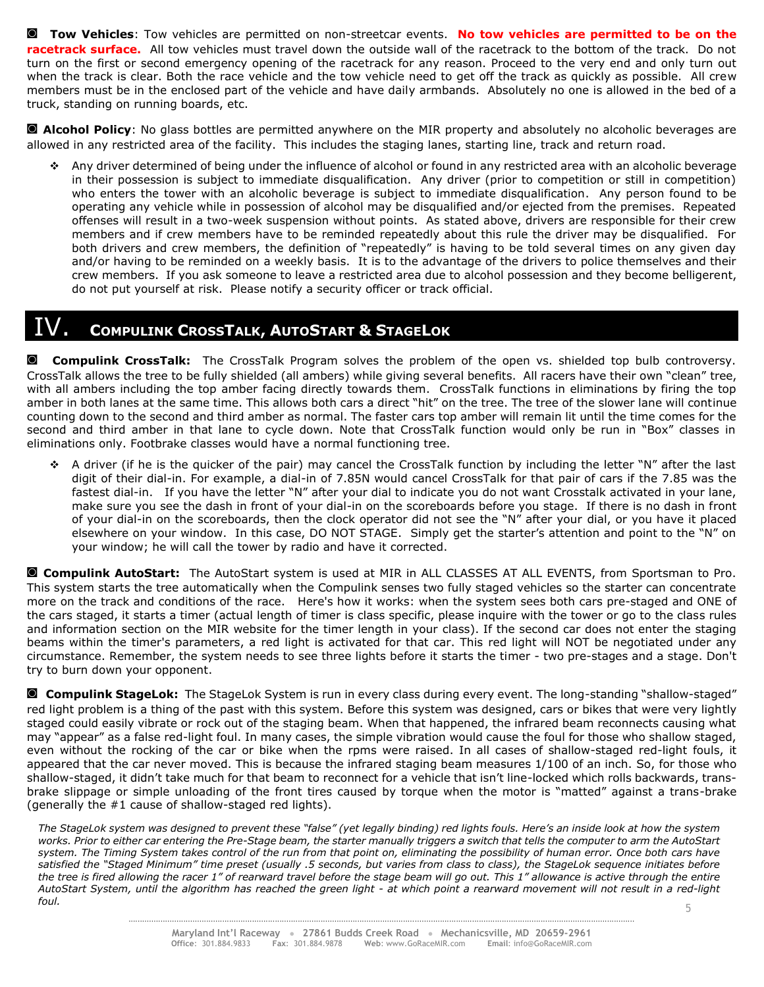**◙ Tow Vehicles**: Tow vehicles are permitted on non-streetcar events. **No tow vehicles are permitted to be on the racetrack surface.** All tow vehicles must travel down the outside wall of the racetrack to the bottom of the track. Do not turn on the first or second emergency opening of the racetrack for any reason. Proceed to the very end and only turn out when the track is clear. Both the race vehicle and the tow vehicle need to get off the track as quickly as possible. All crew members must be in the enclosed part of the vehicle and have daily armbands. Absolutely no one is allowed in the bed of a truck, standing on running boards, etc.

**◙ Alcohol Policy**: No glass bottles are permitted anywhere on the MIR property and absolutely no alcoholic beverages are allowed in any restricted area of the facility. This includes the staging lanes, starting line, track and return road.

❖ Any driver determined of being under the influence of alcohol or found in any restricted area with an alcoholic beverage in their possession is subject to immediate disqualification. Any driver (prior to competition or still in competition) who enters the tower with an alcoholic beverage is subject to immediate disqualification. Any person found to be operating any vehicle while in possession of alcohol may be disqualified and/or ejected from the premises. Repeated offenses will result in a two-week suspension without points. As stated above, drivers are responsible for their crew members and if crew members have to be reminded repeatedly about this rule the driver may be disqualified. For both drivers and crew members, the definition of "repeatedly" is having to be told several times on any given day and/or having to be reminded on a weekly basis. It is to the advantage of the drivers to police themselves and their crew members. If you ask someone to leave a restricted area due to alcohol possession and they become belligerent, do not put yourself at risk. Please notify a security officer or track official.

### **COMPULINK CROSSTALK, AUTOSTART & STAGELOK**

**◙ Compulink CrossTalk:** The CrossTalk Program solves the problem of the open vs. shielded top bulb controversy. CrossTalk allows the tree to be fully shielded (all ambers) while giving several benefits. All racers have their own "clean" tree, with all ambers including the top amber facing directly towards them. CrossTalk functions in eliminations by firing the top amber in both lanes at the same time. This allows both cars a direct "hit" on the tree. The tree of the slower lane will continue counting down to the second and third amber as normal. The faster cars top amber will remain lit until the time comes for the second and third amber in that lane to cycle down. Note that CrossTalk function would only be run in "Box" classes in eliminations only. Footbrake classes would have a normal functioning tree.

❖ A driver (if he is the quicker of the pair) may cancel the CrossTalk function by including the letter "N" after the last digit of their dial-in. For example, a dial-in of 7.85N would cancel CrossTalk for that pair of cars if the 7.85 was the fastest dial-in. If you have the letter "N" after your dial to indicate you do not want Crosstalk activated in your lane, make sure you see the dash in front of your dial-in on the scoreboards before you stage. If there is no dash in front of your dial-in on the scoreboards, then the clock operator did not see the "N" after your dial, or you have it placed elsewhere on your window. In this case, DO NOT STAGE. Simply get the starter's attention and point to the "N" on your window; he will call the tower by radio and have it corrected.

**◙ Compulink AutoStart:** The AutoStart system is used at MIR in ALL CLASSES AT ALL EVENTS, from Sportsman to Pro. This system starts the tree automatically when the Compulink senses two fully staged vehicles so the starter can concentrate more on the track and conditions of the race. Here's how it works: when the system sees both cars pre-staged and ONE of the cars staged, it starts a timer (actual length of timer is class specific, please inquire with the tower or go to the class rules and information section on the MIR website for the timer length in your class). If the second car does not enter the staging beams within the timer's parameters, a red light is activated for that car. This red light will NOT be negotiated under any circumstance. Remember, the system needs to see three lights before it starts the timer - two pre-stages and a stage. Don't try to burn down your opponent.

**◙ Compulink StageLok:** The StageLok System is run in every class during every event. The long-standing "shallow-staged" red light problem is a thing of the past with this system. Before this system was designed, cars or bikes that were very lightly staged could easily vibrate or rock out of the staging beam. When that happened, the infrared beam reconnects causing what may "appear" as a false red-light foul. In many cases, the simple vibration would cause the foul for those who shallow staged, even without the rocking of the car or bike when the rpms were raised. In all cases of shallow-staged red-light fouls, it appeared that the car never moved. This is because the infrared staging beam measures 1/100 of an inch. So, for those who shallow-staged, it didn't take much for that beam to reconnect for a vehicle that isn't line-locked which rolls backwards, transbrake slippage or simple unloading of the front tires caused by torque when the motor is "matted" against a trans-brake (generally the #1 cause of shallow-staged red lights).

*The StageLok system was designed to prevent these "false" (yet legally binding) red lights fouls. Here's an inside look at how the system works. Prior to either car entering the Pre-Stage beam, the starter manually triggers a switch that tells the computer to arm the AutoStart system. The Timing System takes control of the run from that point on, eliminating the possibility of human error. Once both cars have*  satisfied the "Staged Minimum" time preset (usually .5 seconds, but varies from class to class), the StageLok sequence initiates before *the tree is fired allowing the racer 1" of rearward travel before the stage beam will go out. This 1" allowance is active through the entire AutoStart System, until the algorithm has reached the green light - at which point a rearward movement will not result in a red-light foul.*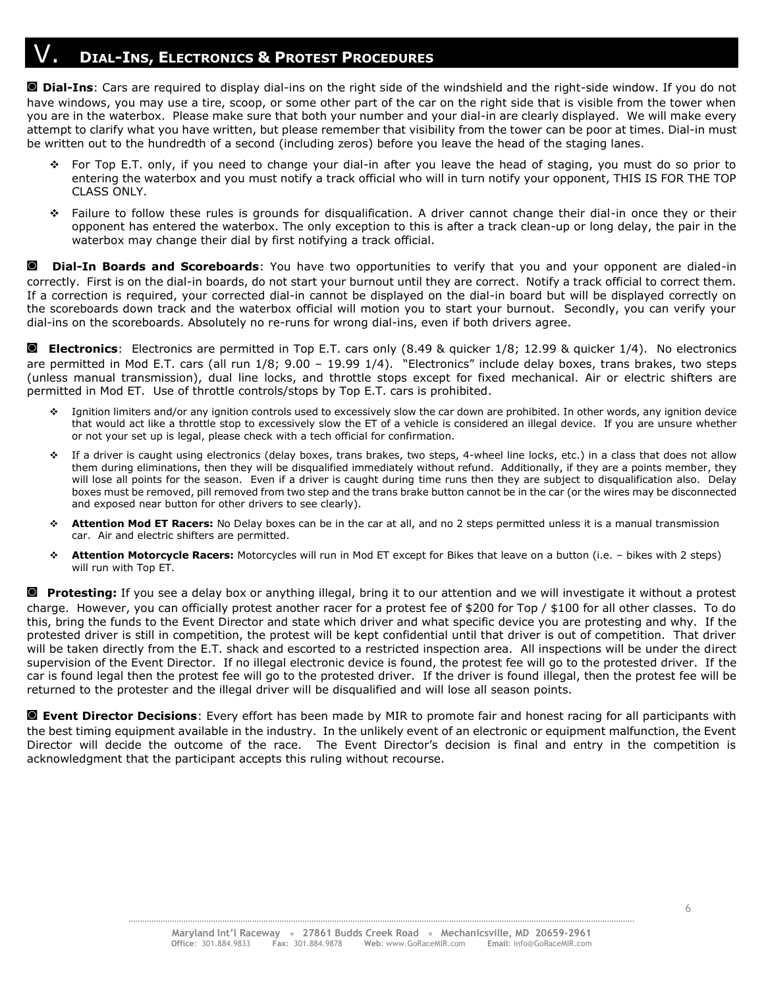## V. **<sup>D</sup>IAL-INS, <sup>E</sup>LECTRONICS & <sup>P</sup>ROTEST PROCEDURES**

**◙ Dial-Ins**: Cars are required to display dial-ins on the right side of the windshield and the right-side window. If you do not have windows, you may use a tire, scoop, or some other part of the car on the right side that is visible from the tower when you are in the waterbox. Please make sure that both your number and your dial-in are clearly displayed. We will make every attempt to clarify what you have written, but please remember that visibility from the tower can be poor at times. Dial-in must be written out to the hundredth of a second (including zeros) before you leave the head of the staging lanes.

- ❖ For Top E.T. only, if you need to change your dial-in after you leave the head of staging, you must do so prior to entering the waterbox and you must notify a track official who will in turn notify your opponent, THIS IS FOR THE TOP CLASS ONLY.
- ❖ Failure to follow these rules is grounds for disqualification. A driver cannot change their dial-in once they or their opponent has entered the waterbox. The only exception to this is after a track clean-up or long delay, the pair in the waterbox may change their dial by first notifying a track official.

**◙ Dial-In Boards and Scoreboards**: You have two opportunities to verify that you and your opponent are dialed-in correctly. First is on the dial-in boards, do not start your burnout until they are correct. Notify a track official to correct them. If a correction is required, your corrected dial-in cannot be displayed on the dial-in board but will be displayed correctly on the scoreboards down track and the waterbox official will motion you to start your burnout. Secondly, you can verify your dial-ins on the scoreboards. Absolutely no re-runs for wrong dial-ins, even if both drivers agree.

**◙ Electronics**: Electronics are permitted in Top E.T. cars only (8.49 & quicker 1/8; 12.99 & quicker 1/4). No electronics are permitted in Mod E.T. cars (all run 1/8; 9.00 – 19.99 1/4). "Electronics" include delay boxes, trans brakes, two steps (unless manual transmission), dual line locks, and throttle stops except for fixed mechanical. Air or electric shifters are permitted in Mod ET. Use of throttle controls/stops by Top E.T. cars is prohibited.

- Ignition limiters and/or any ignition controls used to excessively slow the car down are prohibited. In other words, any ignition device that would act like a throttle stop to excessively slow the ET of a vehicle is considered an illegal device. If you are unsure whether or not your set up is legal, please check with a tech official for confirmation.
- ❖ If a driver is caught using electronics (delay boxes, trans brakes, two steps, 4-wheel line locks, etc.) in a class that does not allow them during eliminations, then they will be disqualified immediately without refund. Additionally, if they are a points member, they will lose all points for the season. Even if a driver is caught during time runs then they are subject to disqualification also. Delay boxes must be removed, pill removed from two step and the trans brake button cannot be in the car (or the wires may be disconnected and exposed near button for other drivers to see clearly).
- Attention Mod ET Racers: No Delay boxes can be in the car at all, and no 2 steps permitted unless it is a manual transmission car. Air and electric shifters are permitted.
- ❖ **Attention Motorcycle Racers:** Motorcycles will run in Mod ET except for Bikes that leave on a button (i.e. bikes with 2 steps) will run with Top ET.

**◙ Protesting:** If you see a delay box or anything illegal, bring it to our attention and we will investigate it without a protest charge. However, you can officially protest another racer for a protest fee of \$200 for Top / \$100 for all other classes. To do this, bring the funds to the Event Director and state which driver and what specific device you are protesting and why. If the protested driver is still in competition, the protest will be kept confidential until that driver is out of competition. That driver will be taken directly from the E.T. shack and escorted to a restricted inspection area. All inspections will be under the direct supervision of the Event Director. If no illegal electronic device is found, the protest fee will go to the protested driver. If the car is found legal then the protest fee will go to the protested driver. If the driver is found illegal, then the protest fee will be returned to the protester and the illegal driver will be disqualified and will lose all season points.

**◙ Event Director Decisions**: Every effort has been made by MIR to promote fair and honest racing for all participants with the best timing equipment available in the industry. In the unlikely event of an electronic or equipment malfunction, the Event Director will decide the outcome of the race. The Event Director's decision is final and entry in the competition is acknowledgment that the participant accepts this ruling without recourse.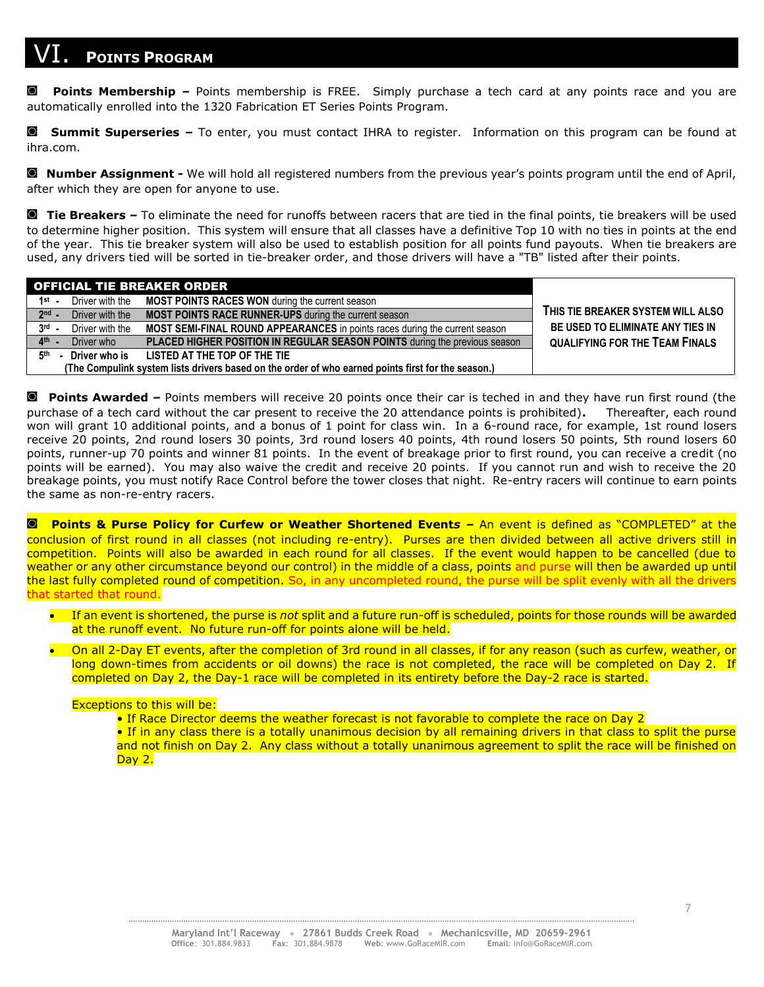# **POINTS PROGRAM**

**◙ Points Membership** *–* Points membership is FREE. Simply purchase a tech card at any points race and you are automatically enrolled into the 1320 Fabrication ET Series Points Program.

**◙ Summit Superseries** *–* To enter, you must contact IHRA to register. Information on this program can be found at ihra.com.

**◙ Number Assignment** *-* We will hold all registered numbers from the previous year's points program until the end of April, after which they are open for anyone to use.

**◙ Tie Breakers** *–* To eliminate the need for runoffs between racers that are tied in the final points, tie breakers will be used to determine higher position. This system will ensure that all classes have a definitive Top 10 with no ties in points at the end of the year. This tie breaker system will also be used to establish position for all points fund payouts. When tie breakers are used, any drivers tied will be sorted in tie-breaker order, and those drivers will have a "TB" listed after their points.

| <b>OFFICIAL TIE BREAKER ORDER</b>                                                                  |                                                                                    |                                       |
|----------------------------------------------------------------------------------------------------|------------------------------------------------------------------------------------|---------------------------------------|
| 1 <sup>st</sup> -<br>Driver with the                                                               | <b>MOST POINTS RACES WON</b> during the current season                             |                                       |
| $2nd$ -<br>Driver with the                                                                         | <b>MOST POINTS RACE RUNNER-UPS</b> during the current season                       | THIS TIE BREAKER SYSTEM WILL ALSO     |
| $3rd$ .<br>Driver with the                                                                         | <b>MOST SEMI-FINAL ROUND APPEARANCES</b> in points races during the current season | BE USED TO ELIMINATE ANY TIES IN      |
| $4th$ -<br>Driver who                                                                              | PLACED HIGHER POSITION IN REGULAR SEASON POINTS during the previous season         | <b>QUALIFYING FOR THE TEAM FINALS</b> |
| Driver who is<br>5 <sup>th</sup>                                                                   | LISTED AT THE TOP OF THE TIE                                                       |                                       |
| (The Compulink system lists drivers based on the order of who earned points first for the season.) |                                                                                    |                                       |

**◙ Points Awarded** *–* Points members will receive 20 points once their car is teched in and they have run first round (the purchase of a tech card without the car present to receive the 20 attendance points is prohibited)**.** Thereafter, each round won will grant 10 additional points, and a bonus of 1 point for class win. In a 6-round race, for example, 1st round losers receive 20 points, 2nd round losers 30 points, 3rd round losers 40 points, 4th round losers 50 points, 5th round losers 60 points, runner-up 70 points and winner 81 points. In the event of breakage prior to first round, you can receive a credit (no points will be earned). You may also waive the credit and receive 20 points. If you cannot run and wish to receive the 20 breakage points, you must notify Race Control before the tower closes that night. Re-entry racers will continue to earn points the same as non-re-entry racers.

**◙ Points & Purse Policy for Curfew or Weather Shortened Event***s –* An event is defined as "COMPLETED" at the conclusion of first round in all classes (not including re-entry). Purses are then divided between all active drivers still in competition. Points will also be awarded in each round for all classes. If the event would happen to be cancelled (due to weather or any other circumstance beyond our control) in the middle of a class, points and purse will then be awarded up until the last fully completed round of competition. So, in any uncompleted round, the purse will be split evenly with all the drivers that started that round.

- If an event is shortened, the purse is *not* split and a future run-off is scheduled, points for those rounds will be awarded at the runoff event. No future run-off for points alone will be held.
- On all 2-Day ET events, after the completion of 3rd round in all classes, if for any reason (such as curfew, weather, or long down-times from accidents or oil downs) the race is not completed, the race will be completed on Day 2. If completed on Day 2, the Day-1 race will be completed in its entirety before the Day-2 race is started.

#### Exceptions to this will be:

• If Race Director deems the weather forecast is not favorable to complete the race on Day 2

• If in any class there is a totally unanimous decision by all remaining drivers in that class to split the purse and not finish on Day 2. Any class without a totally unanimous agreement to split the race will be finished on Day 2.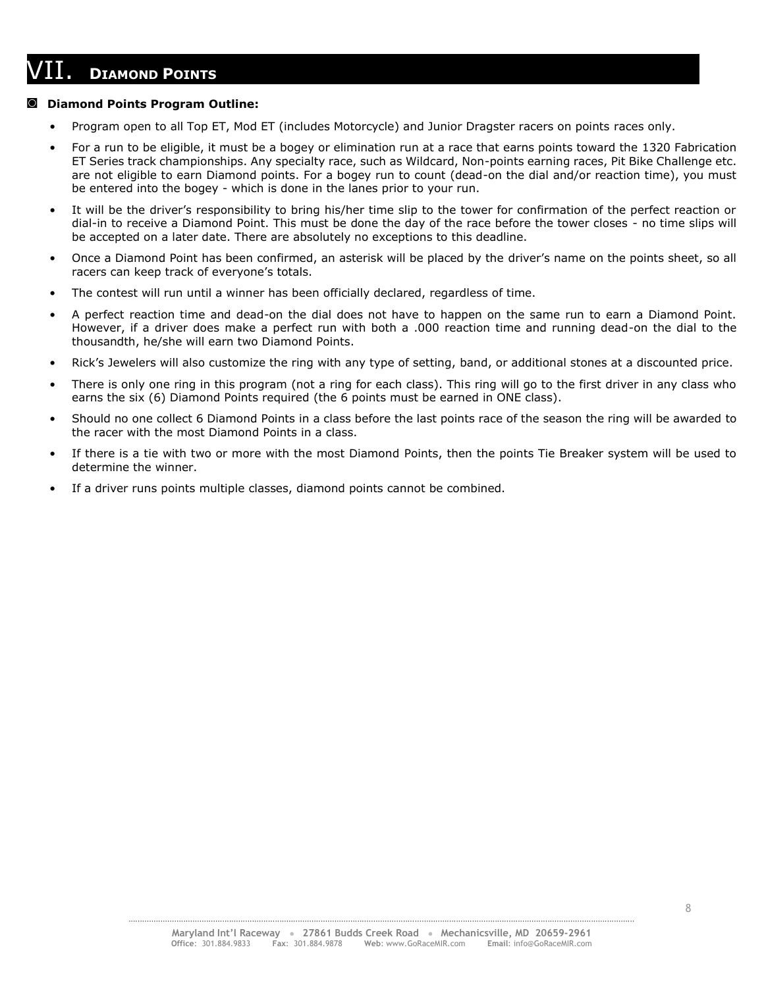## VII. **<sup>D</sup>IAMOND POINTS \_\_\_\_\_\_\_\_\_\_\_\_\_\_\_\_\_\_\_\_\_\_\_\_\_\_\_\_\_\_\_\_\_\_\_\_\_\_\_\_\_\_\_\_\_**

#### **◙ Diamond Points Program Outline:**

- Program open to all Top ET, Mod ET (includes Motorcycle) and Junior Dragster racers on points races only.
- For a run to be eligible, it must be a bogey or elimination run at a race that earns points toward the 1320 Fabrication ET Series track championships. Any specialty race, such as Wildcard, Non-points earning races, Pit Bike Challenge etc. are not eligible to earn Diamond points. For a bogey run to count (dead-on the dial and/or reaction time), you must be entered into the bogey - which is done in the lanes prior to your run.
- It will be the driver's responsibility to bring his/her time slip to the tower for confirmation of the perfect reaction or dial-in to receive a Diamond Point. This must be done the day of the race before the tower closes - no time slips will be accepted on a later date. There are absolutely no exceptions to this deadline.
- Once a Diamond Point has been confirmed, an asterisk will be placed by the driver's name on the points sheet, so all racers can keep track of everyone's totals.
- The contest will run until a winner has been officially declared, regardless of time.
- A perfect reaction time and dead-on the dial does not have to happen on the same run to earn a Diamond Point. However, if a driver does make a perfect run with both a .000 reaction time and running dead-on the dial to the thousandth, he/she will earn two Diamond Points.
- Rick's Jewelers will also customize the ring with any type of setting, band, or additional stones at a discounted price.
- There is only one ring in this program (not a ring for each class). This ring will go to the first driver in any class who earns the six (6) Diamond Points required (the 6 points must be earned in ONE class).
- Should no one collect 6 Diamond Points in a class before the last points race of the season the ring will be awarded to the racer with the most Diamond Points in a class.
- If there is a tie with two or more with the most Diamond Points, then the points Tie Breaker system will be used to determine the winner.
- If a driver runs points multiple classes, diamond points cannot be combined.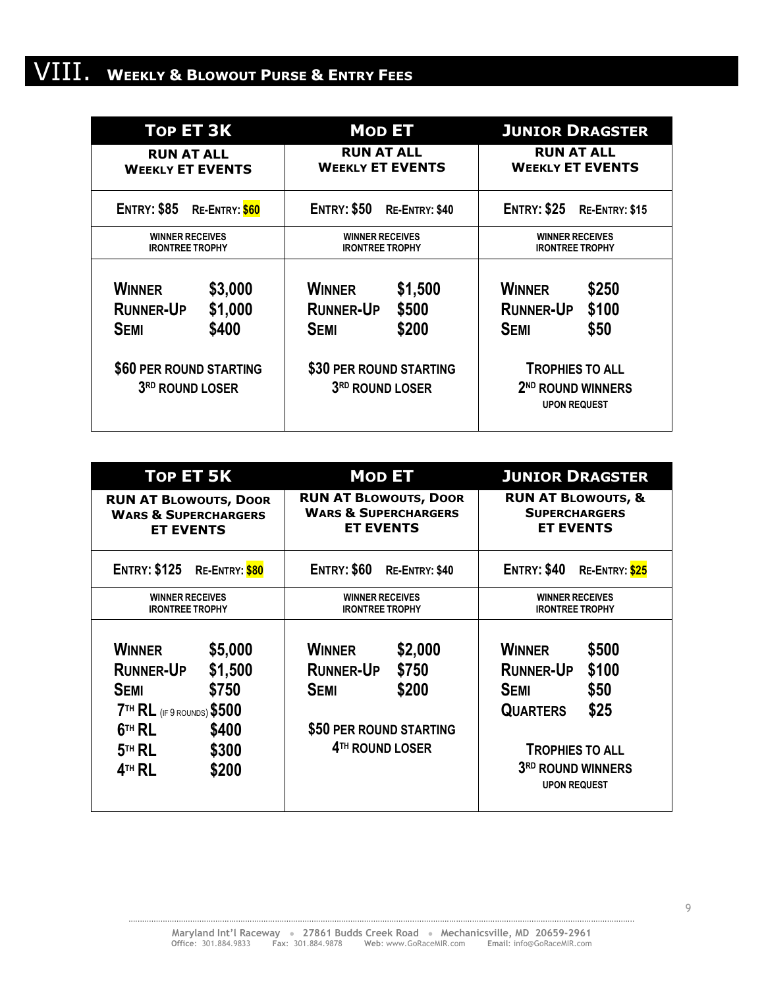# VIII. **<sup>W</sup>EEKLY & <sup>B</sup>LOWOUT PURSE & <sup>E</sup>NTRY FEES**

| <b>TOP ET 3K</b>                                                                                                                          | <b>MOD ET</b>                                                                                                                           | <b>JUNIOR DRAGSTER</b>                                                                                                                                       |  |
|-------------------------------------------------------------------------------------------------------------------------------------------|-----------------------------------------------------------------------------------------------------------------------------------------|--------------------------------------------------------------------------------------------------------------------------------------------------------------|--|
| <b>RUN AT ALL</b>                                                                                                                         | <b>RUN AT ALL</b>                                                                                                                       | <b>RUN AT ALL</b>                                                                                                                                            |  |
| <b>WEEKLY ET EVENTS</b>                                                                                                                   | <b>WEEKLY ET EVENTS</b>                                                                                                                 | <b>WEEKLY ET EVENTS</b>                                                                                                                                      |  |
| <b>ENTRY: \$85</b>                                                                                                                        | <b>ENTRY: \$50</b>                                                                                                                      | <b>ENTRY: \$25</b>                                                                                                                                           |  |
| RE-ENTRY: \$60                                                                                                                            | RE-ENTRY: \$40                                                                                                                          | RE-ENTRY: \$15                                                                                                                                               |  |
| <b>WINNER RECEIVES</b>                                                                                                                    | <b>WINNER RECEIVES</b>                                                                                                                  | <b>WINNER RECEIVES</b>                                                                                                                                       |  |
| <b>IRONTREE TROPHY</b>                                                                                                                    | <b>IRONTREE TROPHY</b>                                                                                                                  | <b>IRONTREE TROPHY</b>                                                                                                                                       |  |
| \$3,000<br><b>WINNER</b><br>\$1,000<br><b>RUNNER-UP</b><br>\$400<br><b>SEMI</b><br>\$60 PER ROUND STARTING<br>3 <sup>RD</sup> ROUND LOSER | \$1,500<br><b>WINNER</b><br>\$500<br><b>RUNNER-UP</b><br>\$200<br><b>SEMI</b><br>\$30 PER ROUND STARTING<br>3 <sup>RD</sup> ROUND LOSER | <b>WINNER</b><br>\$250<br>\$100<br><b>RUNNER-UP</b><br>\$50<br><b>SEMI</b><br><b>TROPHIES TO ALL</b><br>2 <sup>ND</sup> ROUND WINNERS<br><b>UPON REQUEST</b> |  |

| TOP ET 5K                                                                                                                                                                    | <b>MOD ET</b>                                                                                                                           | <b>JUNIOR DRAGSTER</b>                                                                                                                                                      |
|------------------------------------------------------------------------------------------------------------------------------------------------------------------------------|-----------------------------------------------------------------------------------------------------------------------------------------|-----------------------------------------------------------------------------------------------------------------------------------------------------------------------------|
| <b>RUN AT BLOWOUTS, DOOR</b>                                                                                                                                                 | <b>RUN AT BLOWOUTS, DOOR</b>                                                                                                            | <b>RUN AT BLOWOUTS, &amp;</b>                                                                                                                                               |
| <b>WARS &amp; SUPERCHARGERS</b>                                                                                                                                              | <b>WARS &amp; SUPERCHARGERS</b>                                                                                                         | <b>SUPERCHARGERS</b>                                                                                                                                                        |
| <b>ET EVENTS</b>                                                                                                                                                             | <b>ET EVENTS</b>                                                                                                                        | <b>ET EVENTS</b>                                                                                                                                                            |
| <b>ENTRY: \$125</b>                                                                                                                                                          | <b>ENTRY: \$60</b>                                                                                                                      | <b>ENTRY: \$40</b>                                                                                                                                                          |
| RE-ENTRY: \$80                                                                                                                                                               | RE-ENTRY: \$40                                                                                                                          | RE-ENTRY: \$25                                                                                                                                                              |
| <b>WINNER RECEIVES</b>                                                                                                                                                       | <b>WINNER RECEIVES</b>                                                                                                                  | <b>WINNER RECEIVES</b>                                                                                                                                                      |
| <b>IRONTREE TROPHY</b>                                                                                                                                                       | <b>IRONTREE TROPHY</b>                                                                                                                  | <b>IRONTREE TROPHY</b>                                                                                                                                                      |
| <b>WINNER</b><br>\$5,000<br>\$1,500<br><b>RUNNER-UP</b><br>\$750<br><b>SEMI</b><br>7TH RL (IF 9 ROUNDS) \$500<br>\$400<br>$6TH$ RL<br>$5TH$ RL<br>\$300<br>$4TH$ RL<br>\$200 | <b>WINNER</b><br>\$2,000<br><b>RUNNER-UP</b><br>\$750<br>\$200<br><b>SEMI</b><br>\$50 PER ROUND STARTING<br>4 <sup>TH</sup> ROUND LOSER | <b>WINNER</b><br>\$500<br>\$100<br><b>RUNNER-UP</b><br>\$50<br><b>SEMI</b><br>\$25<br><b>QUARTERS</b><br><b>TROPHIES TO ALL</b><br>3RD ROUND WINNERS<br><b>UPON REQUEST</b> |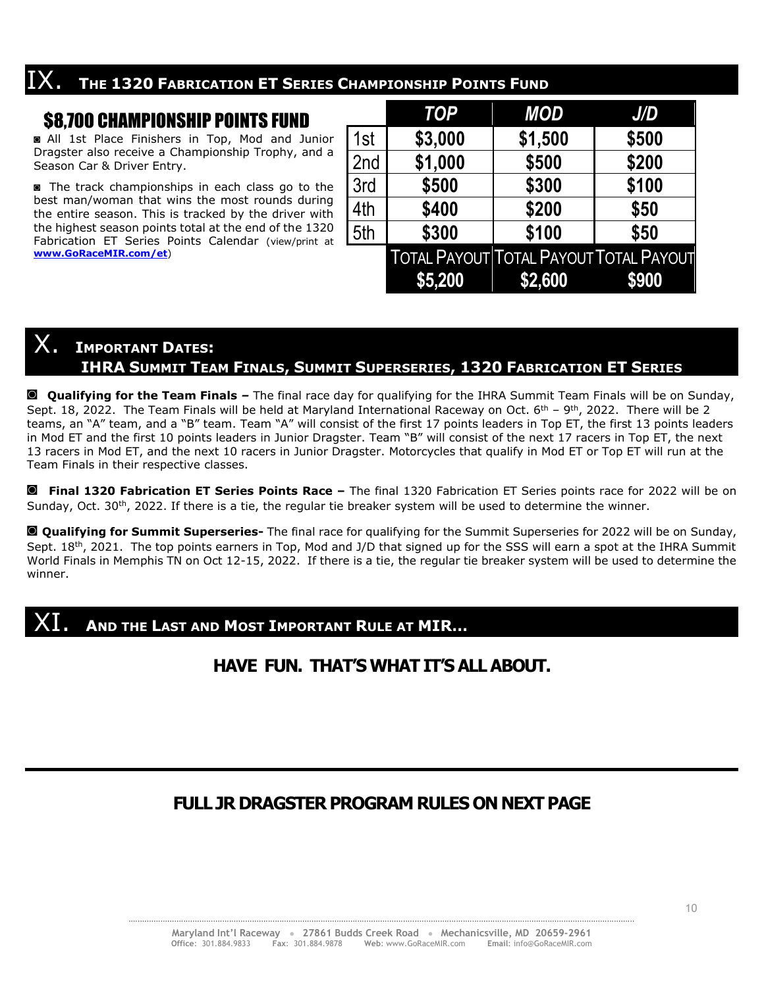# $\frac{1}{1}$ **X**. The 1320 FABRICATION ET SERIES CHAMPIONSHIP POINTS FUND

## \$8,700 CHAMPIONSHIP POINTS FUND

**◙** All 1st Place Finishers in Top, Mod and Junior Dragster also receive a Championship Trophy, and a Season Car & Driver Entry.

**◙** The track championships in each class go to the best man/woman that wins the most rounds during the entire season. This is tracked by the driver with the highest season points total at the end of the 1320 Fabrication ET Series Points Calendar (view/print at **[www.GoRaceMIR.com/et](http://www.goracemir.com/et)**)

|     | <b>TOP</b>                                    | <b>MOD</b> | J/D   |
|-----|-----------------------------------------------|------------|-------|
| 1st | \$3,000                                       | \$1,500    | \$500 |
| 2nd | \$1,000                                       | \$500      | \$200 |
| 3rd | \$500                                         | \$300      | \$100 |
| 4th | \$400                                         | \$200      | \$50  |
| 5th | \$300                                         | \$100      | \$50  |
|     | <b>TOTAL PAYOUT TOTAL PAYOUT TOTAL PAYOUT</b> |            |       |
|     | \$5,200                                       | \$2,600    | \$900 |

# $\mathsf{X}_\bullet$  **I**MPORTANT DATES:

#### **IHRA SUMMIT TEAM FINALS, SUMMIT SUPERSERIES, 1320 FABRICATION ET SERIES**

**◙ Qualifying for the Team Finals** *–* The final race day for qualifying for the IHRA Summit Team Finals will be on Sunday, Sept. 18, 2022. The Team Finals will be held at Maryland International Raceway on Oct.  $6^{th}$  – 9<sup>th</sup>, 2022. There will be 2 teams, an "A" team, and a "B" team. Team "A" will consist of the first 17 points leaders in Top ET, the first 13 points leaders in Mod ET and the first 10 points leaders in Junior Dragster. Team "B" will consist of the next 17 racers in Top ET, the next 13 racers in Mod ET, and the next 10 racers in Junior Dragster. Motorcycles that qualify in Mod ET or Top ET will run at the Team Finals in their respective classes.

**◙ Final 1320 Fabrication ET Series Points Race –** The final 1320 Fabrication ET Series points race for 2022 will be on Sunday, Oct. 30<sup>th</sup>, 2022. If there is a tie, the regular tie breaker system will be used to determine the winner.

**◙ Qualifying for Summit Superseries-** The final race for qualifying for the Summit Superseries for 2022 will be on Sunday, Sept. 18<sup>th</sup>, 2021. The top points earners in Top, Mod and J/D that signed up for the SSS will earn a spot at the IHRA Summit World Finals in Memphis TN on Oct 12-15, 2022. If there is a tie, the regular tie breaker system will be used to determine the winner.

### XI. **<sup>A</sup>ND THE LAST AND MOST IMPORTANT RULE AT MIR…**

### **HAVE FUN. THAT'S WHAT IT'S ALL ABOUT.**

### **FULL JR DRAGSTER PROGRAM RULES ON NEXT PAGE**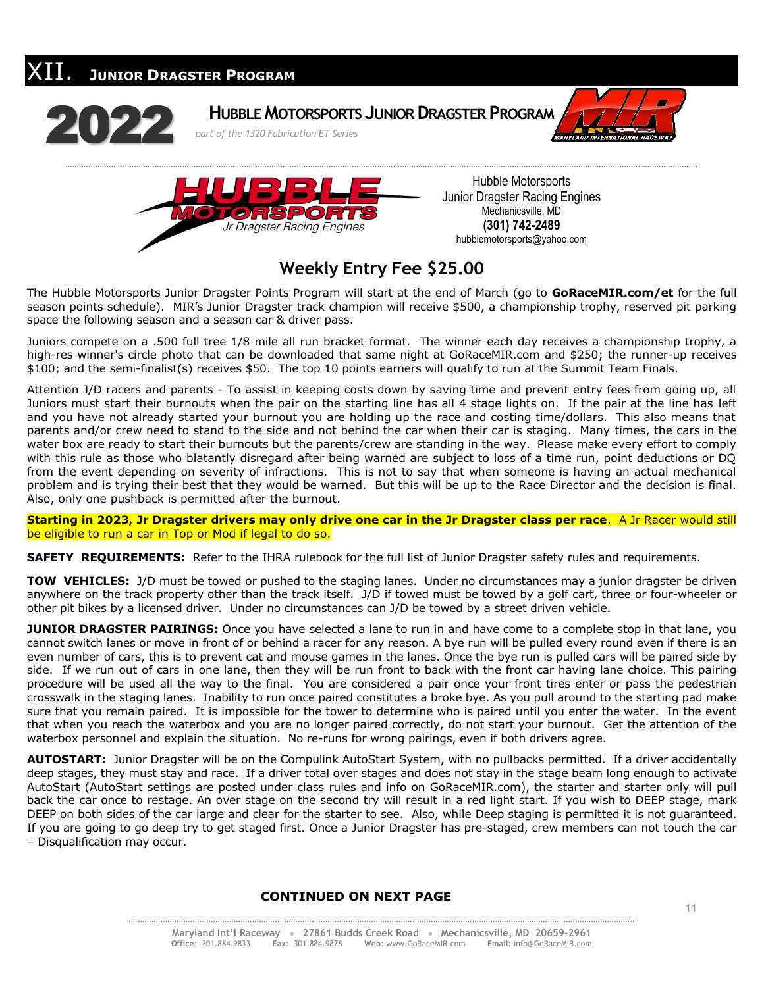



Hubble Motorsports Junior Dragster Racing Engines Mechanicsville, MD **(301) 742-2489** hubblemotorsports@yahoo.com

## **Weekly Entry Fee \$25.00**

The Hubble Motorsports Junior Dragster Points Program will start at the end of March (go to **GoRaceMIR.com/et** for the full season points schedule). MIR's Junior Dragster track champion will receive \$500, a championship trophy, reserved pit parking space the following season and a season car & driver pass.

Juniors compete on a .500 full tree 1/8 mile all run bracket format. The winner each day receives a championship trophy, a high-res winner's circle photo that can be downloaded that same night at GoRaceMIR.com and \$250; the runner-up receives \$100; and the semi-finalist(s) receives \$50. The top 10 points earners will qualify to run at the Summit Team Finals.

Attention J/D racers and parents - To assist in keeping costs down by saving time and prevent entry fees from going up, all Juniors must start their burnouts when the pair on the starting line has all 4 stage lights on. If the pair at the line has left and you have not already started your burnout you are holding up the race and costing time/dollars. This also means that parents and/or crew need to stand to the side and not behind the car when their car is staging. Many times, the cars in the water box are ready to start their burnouts but the parents/crew are standing in the way. Please make every effort to comply with this rule as those who blatantly disregard after being warned are subject to loss of a time run, point deductions or DQ from the event depending on severity of infractions. This is not to say that when someone is having an actual mechanical problem and is trying their best that they would be warned. But this will be up to the Race Director and the decision is final. Also, only one pushback is permitted after the burnout.

**Starting in 2023, Jr Dragster drivers may only drive one car in the Jr Dragster class per race**. A Jr Racer would still be eligible to run a car in Top or Mod if legal to do so.

**SAFETY REQUIREMENTS:** Refer to the IHRA rulebook for the full list of Junior Dragster safety rules and requirements.

**TOW VEHICLES:** J/D must be towed or pushed to the staging lanes. Under no circumstances may a junior dragster be driven anywhere on the track property other than the track itself. J/D if towed must be towed by a golf cart, three or four-wheeler or other pit bikes by a licensed driver. Under no circumstances can J/D be towed by a street driven vehicle.

**JUNIOR DRAGSTER PAIRINGS:** Once you have selected a lane to run in and have come to a complete stop in that lane, you cannot switch lanes or move in front of or behind a racer for any reason. A bye run will be pulled every round even if there is an even number of cars, this is to prevent cat and mouse games in the lanes. Once the bye run is pulled cars will be paired side by side. If we run out of cars in one lane, then they will be run front to back with the front car having lane choice. This pairing procedure will be used all the way to the final. You are considered a pair once your front tires enter or pass the pedestrian crosswalk in the staging lanes. Inability to run once paired constitutes a broke bye. As you pull around to the starting pad make sure that you remain paired. It is impossible for the tower to determine who is paired until you enter the water. In the event that when you reach the waterbox and you are no longer paired correctly, do not start your burnout. Get the attention of the waterbox personnel and explain the situation. No re-runs for wrong pairings, even if both drivers agree.

**AUTOSTART:** Junior Dragster will be on the Compulink AutoStart System, with no pullbacks permitted. If a driver accidentally deep stages, they must stay and race. If a driver total over stages and does not stay in the stage beam long enough to activate AutoStart (AutoStart settings are posted under class rules and info on GoRaceMIR.com), the starter and starter only will pull back the car once to restage. An over stage on the second try will result in a red light start. If you wish to DEEP stage, mark DEEP on both sides of the car large and clear for the starter to see. Also, while Deep staging is permitted it is not guaranteed. If you are going to go deep try to get staged first. Once a Junior Dragster has pre-staged, crew members can not touch the car – Disqualification may occur.

#### **CONTINUED ON NEXT PAGE**